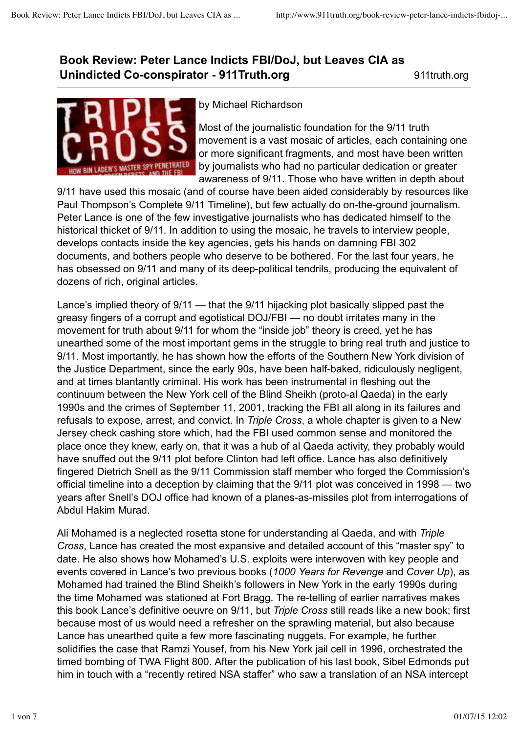## **Book Review: Peter Lance Indicts FBI/DoJ, but Leaves CIA as Unindicted Co-conspirator - 911 Truth.org 11truth.org** 911 truth.org



## by Michael Richardson

Most of the journalistic foundation for the 9/11 truth movement is a vast mosaic of articles, each containing one or more significant fragments, and most have been written by journalists who had no particular dedication or greater awareness of 9/11. Those who have written in depth about

9/11 have used this mosaic (and of course have been aided considerably by resources like Paul Thompson's Complete 9/11 Timeline), but few actually do on-the-ground journalism. Peter Lance is one of the few investigative journalists who has dedicated himself to the historical thicket of 9/11. In addition to using the mosaic, he travels to interview people, develops contacts inside the key agencies, gets his hands on damning FBI 302 documents, and bothers people who deserve to be bothered. For the last four years, he has obsessed on 9/11 and many of its deep-political tendrils, producing the equivalent of dozens of rich, original articles.

Lance's implied theory of 9/11 — that the 9/11 hijacking plot basically slipped past the greasy fingers of a corrupt and egotistical DOJ/FBI — no doubt irritates many in the movement for truth about 9/11 for whom the "inside job" theory is creed, yet he has unearthed some of the most important gems in the struggle to bring real truth and justice to 9/11. Most importantly, he has shown how the efforts of the Southern New York division of the Justice Department, since the early 90s, have been half-baked, ridiculously negligent, and at times blantantly criminal. His work has been instrumental in fleshing out the continuum between the New York cell of the Blind Sheikh (proto-al Qaeda) in the early 1990s and the crimes of September 11, 2001, tracking the FBI all along in its failures and refusals to expose, arrest, and convict. In *Triple Cross*, a whole chapter is given to a New Jersey check cashing store which, had the FBI used common sense and monitored the place once they knew, early on, that it was a hub of al Qaeda activity, they probably would have snuffed out the 9/11 plot before Clinton had left office. Lance has also definitively fingered Dietrich Snell as the 9/11 Commission staff member who forged the Commission's official timeline into a deception by claiming that the 9/11 plot was conceived in 1998 — two years after Snell's DOJ office had known of a planes-as-missiles plot from interrogations of Abdul Hakim Murad.

Ali Mohamed is a neglected rosetta stone for understanding al Qaeda, and with *Triple Cross*, Lance has created the most expansive and detailed account of this "master spy" to date. He also shows how Mohamed's U.S. exploits were interwoven with key people and events covered in Lance's two previous books (*1000 Years for Revenge* and *Cover Up*), as Mohamed had trained the Blind Sheikh's followers in New York in the early 1990s during the time Mohamed was stationed at Fort Bragg. The re-telling of earlier narratives makes this book Lance's definitive oeuvre on 9/11, but *Triple Cross* still reads like a new book; first because most of us would need a refresher on the sprawling material, but also because Lance has unearthed quite a few more fascinating nuggets. For example, he further solidifies the case that Ramzi Yousef, from his New York jail cell in 1996, orchestrated the timed bombing of TWA Flight 800. After the publication of his last book, Sibel Edmonds put him in touch with a "recently retired NSA staffer" who saw a translation of an NSA intercept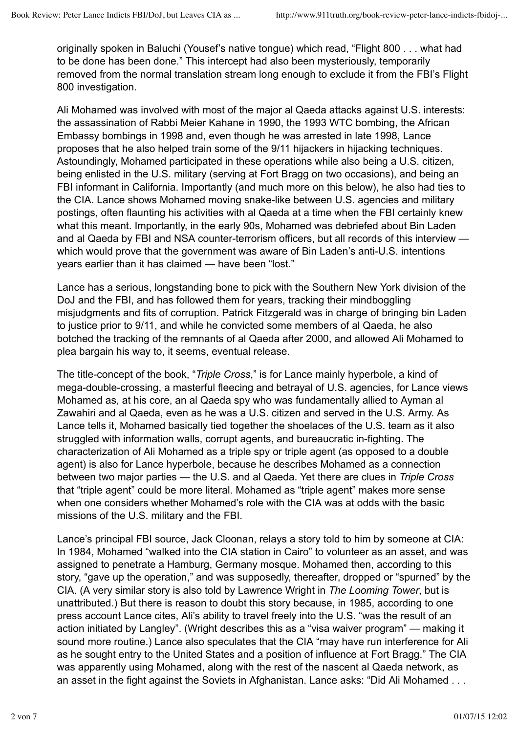originally spoken in Baluchi (Yousef's native tongue) which read, "Flight 800 . . . what had to be done has been done." This intercept had also been mysteriously, temporarily removed from the normal translation stream long enough to exclude it from the FBI's Flight 800 investigation.

Ali Mohamed was involved with most of the major al Qaeda attacks against U.S. interests: the assassination of Rabbi Meier Kahane in 1990, the 1993 WTC bombing, the African Embassy bombings in 1998 and, even though he was arrested in late 1998, Lance proposes that he also helped train some of the 9/11 hijackers in hijacking techniques. Astoundingly, Mohamed participated in these operations while also being a U.S. citizen, being enlisted in the U.S. military (serving at Fort Bragg on two occasions), and being an FBI informant in California. Importantly (and much more on this below), he also had ties to the CIA. Lance shows Mohamed moving snake-like between U.S. agencies and military postings, often flaunting his activities with al Qaeda at a time when the FBI certainly knew what this meant. Importantly, in the early 90s, Mohamed was debriefed about Bin Laden and al Qaeda by FBI and NSA counter-terrorism officers, but all records of this interview which would prove that the government was aware of Bin Laden's anti-U.S. intentions years earlier than it has claimed - have been "lost."

Lance has a serious, longstanding bone to pick with the Southern New York division of the DoJ and the FBI, and has followed them for years, tracking their mindboggling misjudgments and fits of corruption. Patrick Fitzgerald was in charge of bringing bin Laden to justice prior to 9/11, and while he convicted some members of al Qaeda, he also botched the tracking of the remnants of al Qaeda after 2000, and allowed Ali Mohamed to plea bargain his way to, it seems, eventual release.

The title-concept of the book, "*Triple Cross*," is for Lance mainly hyperbole, a kind of mega-double-crossing, a masterful fleecing and betrayal of U.S. agencies, for Lance views Mohamed as, at his core, an al Qaeda spy who was fundamentally allied to Ayman al Zawahiri and al Qaeda, even as he was a U.S. citizen and served in the U.S. Army. As Lance tells it, Mohamed basically tied together the shoelaces of the U.S. team as it also struggled with information walls, corrupt agents, and bureaucratic in-fighting. The characterization of Ali Mohamed as a triple spy or triple agent (as opposed to a double agent) is also for Lance hyperbole, because he describes Mohamed as a connection between two major parties — the U.S. and al Qaeda. Yet there are clues in *Triple Cross* that "triple agent" could be more literal. Mohamed as "triple agent" makes more sense when one considers whether Mohamed's role with the CIA was at odds with the basic missions of the U.S. military and the FBI.

Lance's principal FBI source, Jack Cloonan, relays a story told to him by someone at CIA: In 1984, Mohamed "walked into the CIA station in Cairo" to volunteer as an asset, and was assigned to penetrate a Hamburg, Germany mosque. Mohamed then, according to this story, "gave up the operation," and was supposedly, thereafter, dropped or "spurned" by the CIA. (A very similar story is also told by Lawrence Wright in *The Looming Tower*, but is unattributed.) But there is reason to doubt this story because, in 1985, according to one press account Lance cites, Ali's ability to travel freely into the U.S. "was the result of an action initiated by Langley". (Wright describes this as a "visa waiver program" — making it sound more routine.) Lance also speculates that the CIA "may have run interference for Ali as he sought entry to the United States and a position of influence at Fort Bragg." The CIA was apparently using Mohamed, along with the rest of the nascent al Qaeda network, as an asset in the fight against the Soviets in Afghanistan. Lance asks: "Did Ali Mohamed . . .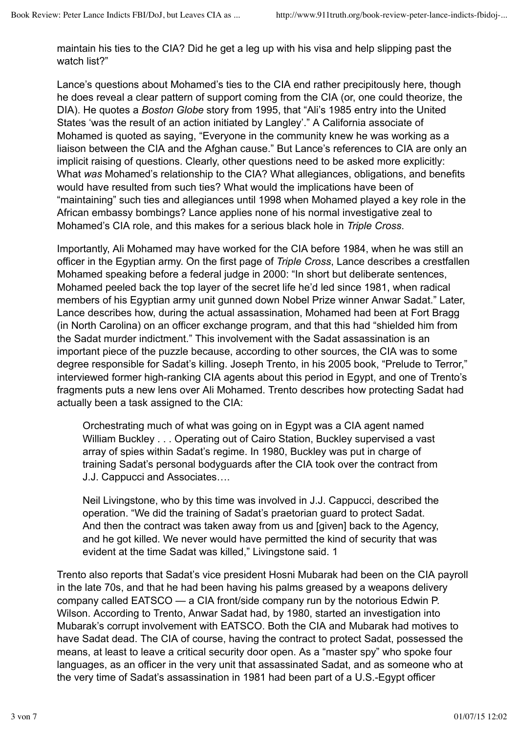maintain his ties to the CIA? Did he get a leg up with his visa and help slipping past the watch list?"

Lance's questions about Mohamed's ties to the CIA end rather precipitously here, though he does reveal a clear pattern of support coming from the CIA (or, one could theorize, the DIA). He quotes a *Boston Globe* story from 1995, that "Ali's 1985 entry into the United States 'was the result of an action initiated by Langley'." A California associate of Mohamed is quoted as saying, "Everyone in the community knew he was working as a liaison between the CIA and the Afghan cause." But Lance's references to CIA are only an implicit raising of questions. Clearly, other questions need to be asked more explicitly: What *was* Mohamed's relationship to the CIA? What allegiances, obligations, and benefits would have resulted from such ties? What would the implications have been of "maintaining" such ties and allegiances until 1998 when Mohamed played a key role in the African embassy bombings? Lance applies none of his normal investigative zeal to Mohamed's CIA role, and this makes for a serious black hole in *Triple Cross*.

Importantly, Ali Mohamed may have worked for the CIA before 1984, when he was still an officer in the Egyptian army. On the first page of *Triple Cross*, Lance describes a crestfallen Mohamed speaking before a federal judge in 2000: "In short but deliberate sentences, Mohamed peeled back the top layer of the secret life he'd led since 1981, when radical members of his Egyptian army unit gunned down Nobel Prize winner Anwar Sadat." Later, Lance describes how, during the actual assassination, Mohamed had been at Fort Bragg (in North Carolina) on an officer exchange program, and that this had "shielded him from the Sadat murder indictment." This involvement with the Sadat assassination is an important piece of the puzzle because, according to other sources, the CIA was to some degree responsible for Sadat's killing. Joseph Trento, in his 2005 book, "Prelude to Terror," interviewed former high-ranking CIA agents about this period in Egypt, and one of Trento's fragments puts a new lens over Ali Mohamed. Trento describes how protecting Sadat had actually been a task assigned to the CIA:

Orchestrating much of what was going on in Egypt was a CIA agent named William Buckley . . . Operating out of Cairo Station, Buckley supervised a vast array of spies within Sadat's regime. In 1980, Buckley was put in charge of training Sadat's personal bodyguards after the CIA took over the contract from J.J. Cappucci and Associates….

Neil Livingstone, who by this time was involved in J.J. Cappucci, described the operation. "We did the training of Sadat's praetorian guard to protect Sadat. And then the contract was taken away from us and [given] back to the Agency, and he got killed. We never would have permitted the kind of security that was evident at the time Sadat was killed," Livingstone said. 1

Trento also reports that Sadat's vice president Hosni Mubarak had been on the CIA payroll in the late 70s, and that he had been having his palms greased by a weapons delivery company called EATSCO — a CIA front/side company run by the notorious Edwin P. Wilson. According to Trento, Anwar Sadat had, by 1980, started an investigation into Mubarak's corrupt involvement with EATSCO. Both the CIA and Mubarak had motives to have Sadat dead. The CIA of course, having the contract to protect Sadat, possessed the means, at least to leave a critical security door open. As a "master spy" who spoke four languages, as an officer in the very unit that assassinated Sadat, and as someone who at the very time of Sadat's assassination in 1981 had been part of a U.S.-Egypt officer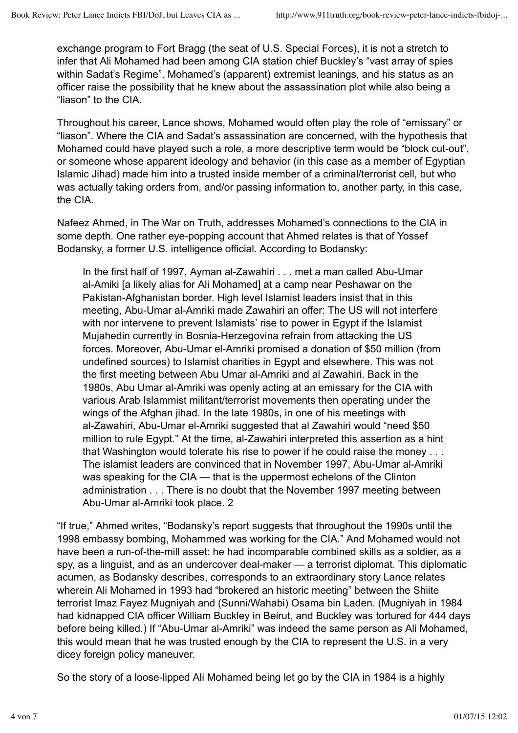exchange program to Fort Bragg (the seat of U.S. Special Forces), it is not a stretch to infer that Ali Mohamed had been among CIA station chief Buckley's "vast array of spies within Sadat's Regime". Mohamed's (apparent) extremist leanings, and his status as an officer raise the possibility that he knew about the assassination plot while also being a "liason" to the CIA.

Throughout his career, Lance shows, Mohamed would often play the role of "emissary" or "liason". Where the CIA and Sadat's assassination are concerned, with the hypothesis that Mohamed could have played such a role, a more descriptive term would be "block cut-out", or someone whose apparent ideology and behavior (in this case as a member of Egyptian Islamic Jihad) made him into a trusted inside member of a criminal/terrorist cell, but who was actually taking orders from, and/or passing information to, another party, in this case, the CIA.

Nafeez Ahmed, in The War on Truth, addresses Mohamed's connections to the CIA in some depth. One rather eye-popping account that Ahmed relates is that of Yossef Bodansky, a former U.S. intelligence official. According to Bodansky:

In the first half of 1997, Ayman al-Zawahiri . . . met a man called Abu-Umar al-Amiki [a likely alias for Ali Mohamed] at a camp near Peshawar on the Pakistan-Afghanistan border. High level Islamist leaders insist that in this meeting, Abu-Umar al-Amriki made Zawahiri an offer: The US will not interfere with nor intervene to prevent Islamists' rise to power in Egypt if the Islamist Mujahedin currently in Bosnia-Herzegovina refrain from attacking the US forces. Moreover, Abu-Umar el-Amriki promised a donation of \$50 million (from undefined sources) to Islamist charities in Egypt and elsewhere. This was not the first meeting between Abu Umar al-Amriki and al Zawahiri. Back in the 1980s, Abu Umar al-Amriki was openly acting at an emissary for the CIA with various Arab Islammist militant/terrorist movements then operating under the wings of the Afghan jihad. In the late 1980s, in one of his meetings with al-Zawahiri, Abu-Umar el-Amriki suggested that al Zawahiri would "need \$50 million to rule Egypt." At the time, al-Zawahiri interpreted this assertion as a hint that Washington would tolerate his rise to power if he could raise the money . . . The islamist leaders are convinced that in November 1997, Abu-Umar al-Amriki was speaking for the CIA — that is the uppermost echelons of the Clinton administration . . . There is no doubt that the November 1997 meeting between Abu-Umar al-Amriki took place. 2

"If true," Ahmed writes, "Bodansky's report suggests that throughout the 1990s until the 1998 embassy bombing, Mohammed was working for the CIA." And Mohamed would not have been a run-of-the-mill asset: he had incomparable combined skills as a soldier, as a spy, as a linguist, and as an undercover deal-maker — a terrorist diplomat. This diplomatic acumen, as Bodansky describes, corresponds to an extraordinary story Lance relates wherein Ali Mohamed in 1993 had "brokered an historic meeting" between the Shiite terrorist Imaz Fayez Mugniyah and (Sunni/Wahabi) Osama bin Laden. (Mugniyah in 1984 had kidnapped CIA officer William Buckley in Beirut, and Buckley was tortured for 444 days before being killed.) If "Abu-Umar al-Amriki" was indeed the same person as Ali Mohamed, this would mean that he was trusted enough by the CIA to represent the U.S. in a very dicey foreign policy maneuver.

So the story of a loose-lipped Ali Mohamed being let go by the CIA in 1984 is a highly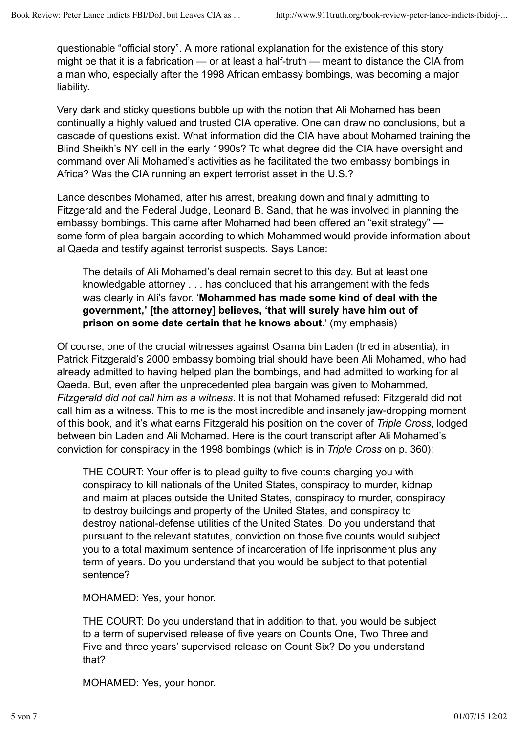questionable "official story". A more rational explanation for the existence of this story might be that it is a fabrication — or at least a half-truth — meant to distance the CIA from a man who, especially after the 1998 African embassy bombings, was becoming a major liability.

Very dark and sticky questions bubble up with the notion that Ali Mohamed has been continually a highly valued and trusted CIA operative. One can draw no conclusions, but a cascade of questions exist. What information did the CIA have about Mohamed training the Blind Sheikh's NY cell in the early 1990s? To what degree did the CIA have oversight and command over Ali Mohamed's activities as he facilitated the two embassy bombings in Africa? Was the CIA running an expert terrorist asset in the U.S.?

Lance describes Mohamed, after his arrest, breaking down and finally admitting to Fitzgerald and the Federal Judge, Leonard B. Sand, that he was involved in planning the embassy bombings. This came after Mohamed had been offered an "exit strategy" some form of plea bargain according to which Mohammed would provide information about al Qaeda and testify against terrorist suspects. Says Lance:

The details of Ali Mohamed's deal remain secret to this day. But at least one knowledgable attorney . . . has concluded that his arrangement with the feds was clearly in Ali's favor. '**Mohammed has made some kind of deal with the government,' [the attorney] believes, 'that will surely have him out of prison on some date certain that he knows about.**' (my emphasis)

Of course, one of the crucial witnesses against Osama bin Laden (tried in absentia), in Patrick Fitzgerald's 2000 embassy bombing trial should have been Ali Mohamed, who had already admitted to having helped plan the bombings, and had admitted to working for al Qaeda. But, even after the unprecedented plea bargain was given to Mohammed, *Fitzgerald did not call him as a witness*. It is not that Mohamed refused: Fitzgerald did not call him as a witness. This to me is the most incredible and insanely jaw-dropping moment of this book, and it's what earns Fitzgerald his position on the cover of *Triple Cross*, lodged between bin Laden and Ali Mohamed. Here is the court transcript after Ali Mohamed's conviction for conspiracy in the 1998 bombings (which is in *Triple Cross* on p. 360):

THE COURT: Your offer is to plead guilty to five counts charging you with conspiracy to kill nationals of the United States, conspiracy to murder, kidnap and maim at places outside the United States, conspiracy to murder, conspiracy to destroy buildings and property of the United States, and conspiracy to destroy national-defense utilities of the United States. Do you understand that pursuant to the relevant statutes, conviction on those five counts would subject you to a total maximum sentence of incarceration of life inprisonment plus any term of years. Do you understand that you would be subject to that potential sentence?

MOHAMED: Yes, your honor.

THE COURT: Do you understand that in addition to that, you would be subject to a term of supervised release of five years on Counts One, Two Three and Five and three years' supervised release on Count Six? Do you understand that?

MOHAMED: Yes, your honor.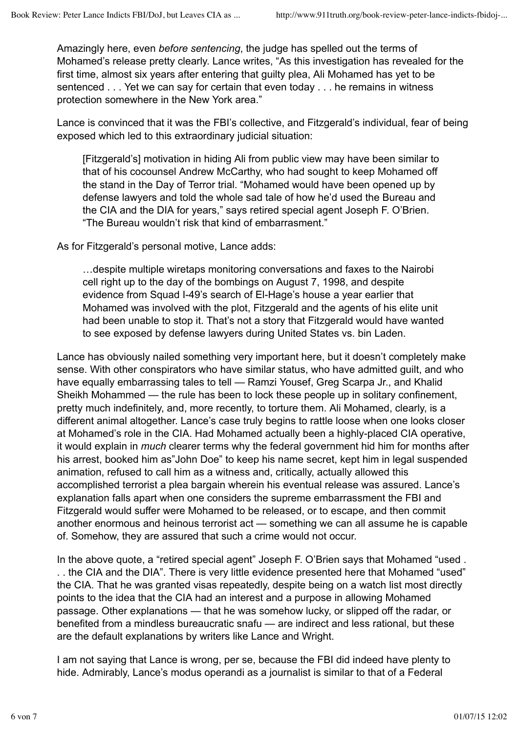Amazingly here, even *before sentencing*, the judge has spelled out the terms of Mohamed's release pretty clearly. Lance writes, "As this investigation has revealed for the first time, almost six years after entering that guilty plea, Ali Mohamed has yet to be sentenced . . . Yet we can say for certain that even today . . . he remains in witness protection somewhere in the New York area."

Lance is convinced that it was the FBI's collective, and Fitzgerald's individual, fear of being exposed which led to this extraordinary judicial situation:

[Fitzgerald's] motivation in hiding Ali from public view may have been similar to that of his cocounsel Andrew McCarthy, who had sought to keep Mohamed off the stand in the Day of Terror trial. "Mohamed would have been opened up by defense lawyers and told the whole sad tale of how he'd used the Bureau and the CIA and the DIA for years," says retired special agent Joseph F. O'Brien. "The Bureau wouldn't risk that kind of embarrasment."

As for Fitzgerald's personal motive, Lance adds:

…despite multiple wiretaps monitoring conversations and faxes to the Nairobi cell right up to the day of the bombings on August 7, 1998, and despite evidence from Squad I-49's search of El-Hage's house a year earlier that Mohamed was involved with the plot, Fitzgerald and the agents of his elite unit had been unable to stop it. That's not a story that Fitzgerald would have wanted to see exposed by defense lawyers during United States vs. bin Laden.

Lance has obviously nailed something very important here, but it doesn't completely make sense. With other conspirators who have similar status, who have admitted guilt, and who have equally embarrassing tales to tell — Ramzi Yousef, Greg Scarpa Jr., and Khalid Sheikh Mohammed — the rule has been to lock these people up in solitary confinement, pretty much indefinitely, and, more recently, to torture them. Ali Mohamed, clearly, is a different animal altogether. Lance's case truly begins to rattle loose when one looks closer at Mohamed's role in the CIA. Had Mohamed actually been a highly-placed CIA operative, it would explain in *much* clearer terms why the federal government hid him for months after his arrest, booked him as"John Doe" to keep his name secret, kept him in legal suspended animation, refused to call him as a witness and, critically, actually allowed this accomplished terrorist a plea bargain wherein his eventual release was assured. Lance's explanation falls apart when one considers the supreme embarrassment the FBI and Fitzgerald would suffer were Mohamed to be released, or to escape, and then commit another enormous and heinous terrorist act — something we can all assume he is capable of. Somehow, they are assured that such a crime would not occur.

In the above quote, a "retired special agent" Joseph F. O'Brien says that Mohamed "used . . . the CIA and the DIA". There is very little evidence presented here that Mohamed "used" the CIA. That he was granted visas repeatedly, despite being on a watch list most directly points to the idea that the CIA had an interest and a purpose in allowing Mohamed passage. Other explanations — that he was somehow lucky, or slipped off the radar, or benefited from a mindless bureaucratic snafu — are indirect and less rational, but these are the default explanations by writers like Lance and Wright.

I am not saying that Lance is wrong, per se, because the FBI did indeed have plenty to hide. Admirably, Lance's modus operandi as a journalist is similar to that of a Federal